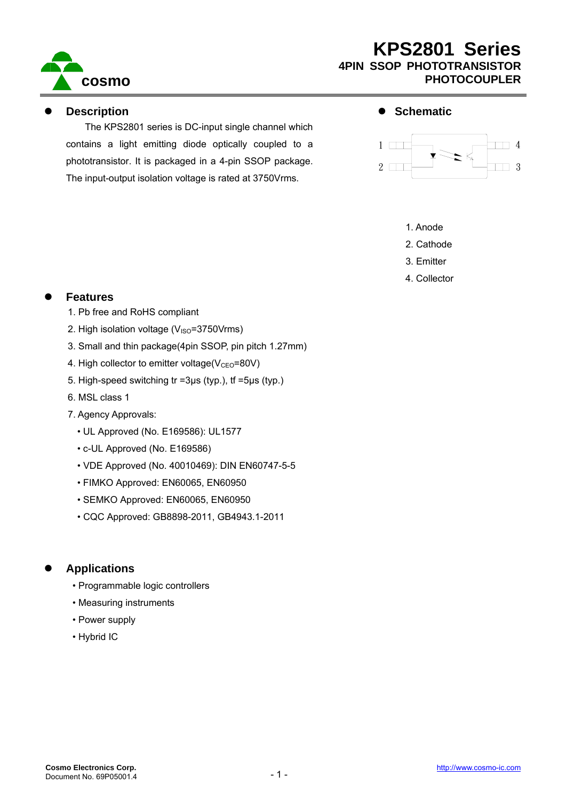

#### z **Description**

The KPS2801 series is DC-input single channel which contains a light emitting diode optically coupled to a phototransistor. It is packaged in a 4-pin SSOP package. The input-output isolation voltage is rated at 3750Vrms.

#### $\bullet$  Schematic



- 1. Anode
- 2. Cathode
- 3. Emitter
- 4. Collector

#### **Features**

- 1. Pb free and RoHS compliant
- 2. High isolation voltage  $(V_{\text{ISO}}=3750V$ rms)
- 3. Small and thin package(4pin SSOP, pin pitch 1.27mm)
- 4. High collector to emitter voltage( $V_{\text{CEO}}$ =80V)
- 5. High-speed switching tr =3μs (typ.), tf =5μs (typ.)
- 6. MSL class 1
- 7. Agency Approvals:
	- UL Approved (No. E169586): UL1577
	- c-UL Approved (No. E169586)
	- VDE Approved (No. 40010469): DIN EN60747-5-5
	- FIMKO Approved: EN60065, EN60950
	- SEMKO Approved: EN60065, EN60950
	- CQC Approved: GB8898-2011, GB4943.1-2011

#### z **Applications**

- Programmable logic controllers
- Measuring instruments
- Power supply
- Hybrid IC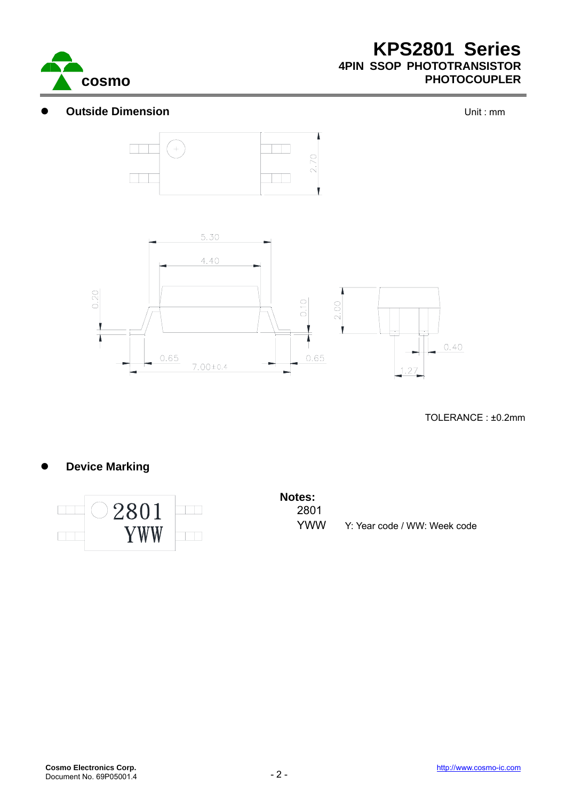

#### **Outside Dimension Outside Dimension**





TOLERANCE : ±0.2mm

#### **Device Marking**



# **Notes:**  2801

YWW Y: Year code / WW: Week code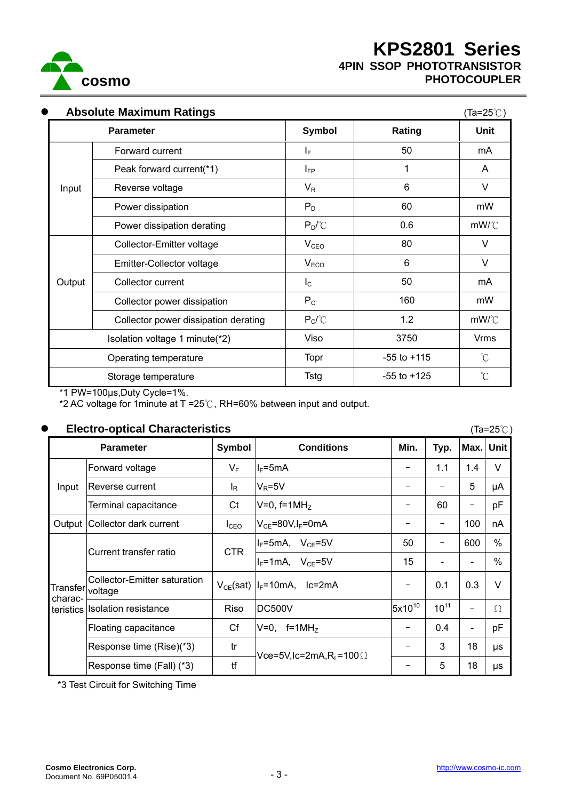

| <b>Absolute Maximum Ratings</b><br>$\bullet$<br>$(Ta=25^{\circ}C)$ |                                      |                  |                 |                      |  |  |
|--------------------------------------------------------------------|--------------------------------------|------------------|-----------------|----------------------|--|--|
|                                                                    | <b>Parameter</b>                     | <b>Symbol</b>    | Rating          | Unit                 |  |  |
|                                                                    | Forward current                      | I <sub>F</sub>   | 50              | mA                   |  |  |
|                                                                    | Peak forward current(*1)             | l <sub>FP</sub>  | 1               | A                    |  |  |
| Input                                                              | Reverse voltage                      | $V_R$            | 6               | V                    |  |  |
|                                                                    | Power dissipation                    | $P_D$            | 60              | mW                   |  |  |
|                                                                    | Power dissipation derating           | $P_D{}^{\circ}C$ | 0.6             | mW/C                 |  |  |
|                                                                    | Collector-Emitter voltage            | V <sub>CEO</sub> | 80              | V                    |  |  |
| Output                                                             | Emitter-Collector voltage            | V <sub>ECO</sub> | 6               | $\vee$               |  |  |
|                                                                    | Collector current                    | $I_{\rm C}$      | 50              | mA                   |  |  |
|                                                                    | Collector power dissipation          | $P_{C}$          | 160             | mW                   |  |  |
|                                                                    | Collector power dissipation derating | $P_C$ $C$        | 1.2             | mW/°C                |  |  |
|                                                                    | Isolation voltage 1 minute(*2)       |                  | 3750            | <b>Vrms</b>          |  |  |
| Operating temperature                                              |                                      | Topr             | $-55$ to $+115$ | $\mathrm{C}^{\circ}$ |  |  |
| Storage temperature                                                |                                      | Tstg             | $-55$ to $+125$ | $\mathrm{C}^{\circ}$ |  |  |

\*1 PW=100μs,Duty Cycle=1%.

\*2 AC voltage for 1minute at T =25℃, RH=60% between input and output.

#### <sup>z</sup> **Electro-optical Characteristics** (Ta=25℃)

|                                          | LICCII O-OPIICAI OHAI ACIGHSIICS<br>$($ Id-20 $\cup$ $)$ |                  |                                     |             |                          |                          |               |  |
|------------------------------------------|----------------------------------------------------------|------------------|-------------------------------------|-------------|--------------------------|--------------------------|---------------|--|
| <b>Parameter</b>                         |                                                          | Symbol           | <b>Conditions</b>                   | Min.        | Typ.                     | Max.                     | Unit          |  |
| Input                                    | Forward voltage                                          | $V_F$            | $I_F = 5mA$                         | -           | 1.1                      | 1.4                      | $\vee$        |  |
|                                          | Reverse current                                          | l <sub>R</sub>   | $V_R = 5V$                          |             |                          | 5                        | μA            |  |
|                                          | Terminal capacitance                                     | Ct               | $V=0$ , f=1MH <sub>z</sub>          |             | 60                       | -                        | pF            |  |
| Output                                   | Collector dark current                                   | $I_{\text{CEO}}$ | $V_{CE}$ =80V, I <sub>F</sub> =0mA  |             | $\qquad \qquad -$        | 100                      | nA            |  |
| Transfer voltage<br>charac-<br>teristics | Current transfer ratio                                   | <b>CTR</b>       | $I_F$ =5mA, $V_{CE}$ =5V            | 50          | $\overline{\phantom{m}}$ | 600                      | %             |  |
|                                          |                                                          |                  | $I_F = 1mA$ , $V_{CF} = 5V$         | 15          |                          |                          | $\frac{0}{0}$ |  |
|                                          | Collector-Emitter saturation                             |                  | $V_{CE}(sat)$   $I_F$ =10mA, lc=2mA |             | 0.1                      | 0.3                      | $\vee$        |  |
|                                          | <b>Isolation resistance</b>                              | Riso             | <b>DC500V</b>                       | $5x10^{10}$ | $10^{11}$                | $\overline{\phantom{0}}$ | Ω             |  |
|                                          | Floating capacitance                                     | Cf               | $f=1MHz$<br>$V=0$                   |             | 0.4                      | $\overline{\phantom{a}}$ | pF            |  |
|                                          | Response time (Rise)(*3)                                 | tr               | Vce=5V,Ic=2mA,R∟=100 $\Omega$       |             | 3                        | 18                       | μs            |  |
|                                          | Response time (Fall) (*3)                                | tf               |                                     | -           | 5                        | 18                       | μs            |  |

\*3 Test Circuit for Switching Time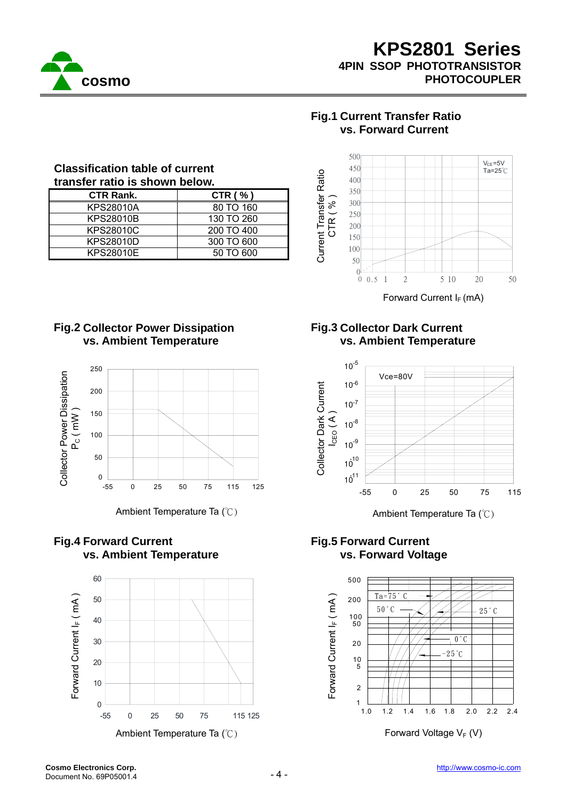

### **Fig.1 Current Transfer Ratio vs. Forward Current**



Forward Current  $I_F$  (mA)

### **Fig.2 Collector Power Dissipation vs. Ambient Temperature**

**Classification table of current transfer ratio is shown below.**

> CTR Rank. CTR (%) KPS28010A 80 TO 160 KPS28010B 130 TO 260 KPS28010C 200 TO 400 KPS28010D 300 TO 600 KPS28010E | 50 TO 600



Ambient Temperature Ta (°C) Ambient Temperature Ta (°C)

### **Fig.4 Forward Current vs. Ambient Temperature**



**Fig.3 Collector Dark Current vs. Ambient Temperature** 



#### **Fig.5 Forward Current vs. Forward Voltage**

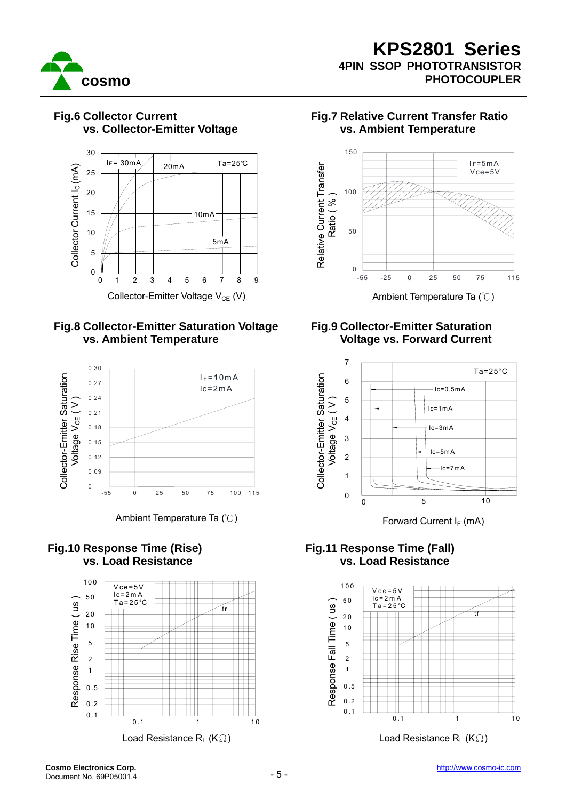



#### **Fig.6 Collector Current vs. Collector-Emitter Voltage**





#### **Fig.10 Response Time (Rise) vs. Load Resistance**



#### **Fig.7 Relative Current Transfer Ratio vs. Ambient Temperature**



#### **Fig.9 Collector-Emitter Saturation Voltage vs. Forward Current**



### **Fig.11 Response Time (Fall) vs. Load Resistance**

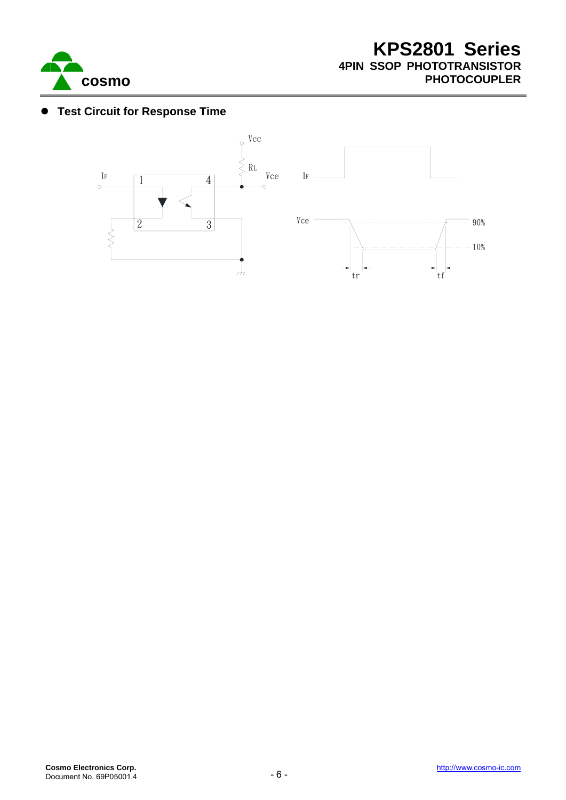

#### **• Test Circuit for Response Time**

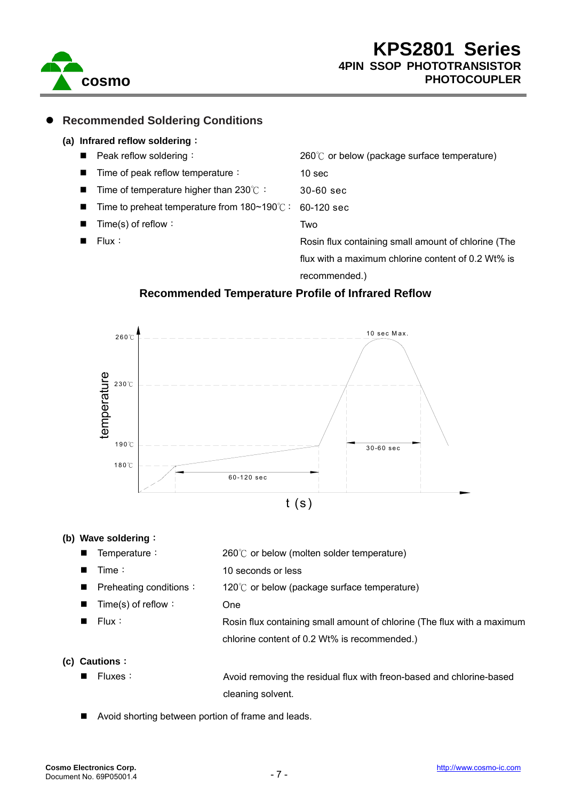

#### z **Recommended Soldering Conditions**

#### **(a) Infrared reflow soldering**:

**Peak reflow soldering:** Time of peak reflow temperature: Time of temperature higher than 230℃: Time to preheat temperature from 180~190℃: Time(s) of reflow: Flux: 260℃ or below (package surface temperature) 10 sec 30-60 sec 60-120 sec Two Rosin flux containing small amount of chlorine (The flux with a maximum chlorine content of 0.2 Wt% is

recommended.)

#### **Recommended Temperature Profile of Infrared Reflow**



10 seconds or less

#### **(b) Wave soldering**:

- Temperature: 260℃ or below (molten solder temperature)
- $\blacksquare$  Time:
	- Preheating conditions: 120℃ or below (package surface temperature)
- Time(s) of reflow:
	-
- Flux:

One Rosin flux containing small amount of chlorine (The flux with a maximum chlorine content of 0.2 Wt% is recommended.)

#### **(c) Cautions**:

■ Fluxes: a section of a Avoid removing the residual flux with freon-based and chlorine-based cleaning solvent.

Avoid shorting between portion of frame and leads.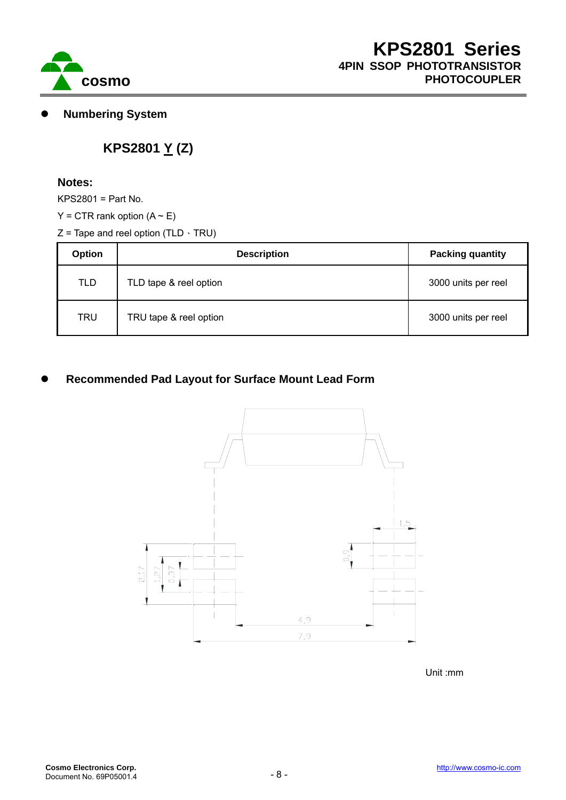

z **Numbering System** 

## **KPS2801 Y (Z)**

#### **Notes:**

KPS2801 = Part No.

- $Y = CTR$  rank option  $(A \sim E)$
- $Z$  = Tape and reel option (TLD  $\cdot$  TRU)

| <b>Option</b> | <b>Description</b>     | <b>Packing quantity</b> |  |  |
|---------------|------------------------|-------------------------|--|--|
| <b>TLD</b>    | TLD tape & reel option | 3000 units per reel     |  |  |
| <b>TRU</b>    | TRU tape & reel option | 3000 units per reel     |  |  |

### **Recommended Pad Layout for Surface Mount Lead Form**



Unit :mm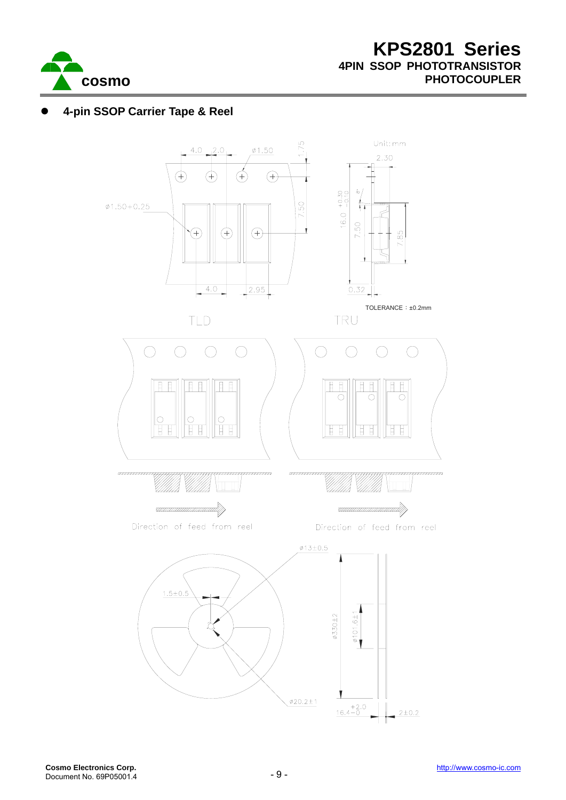

#### z **4-pin SSOP Carrier Tape & Reel**